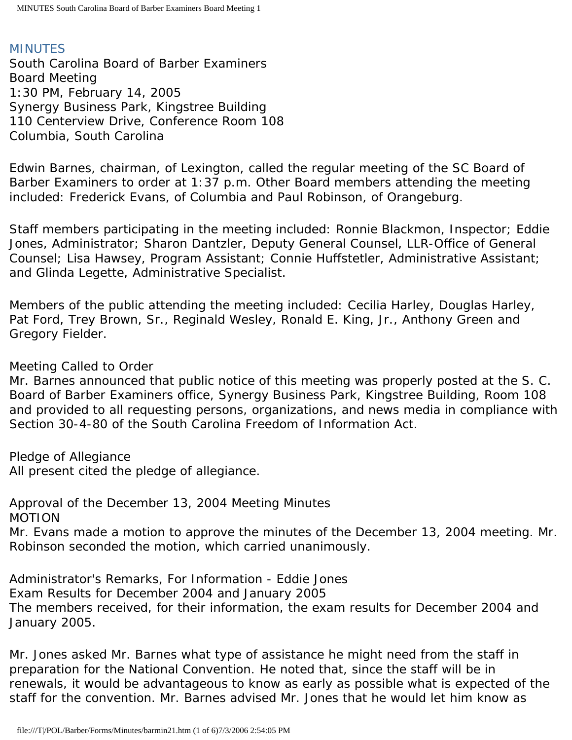## MINUTES

South Carolina Board of Barber Examiners Board Meeting 1:30 PM, February 14, 2005 Synergy Business Park, Kingstree Building 110 Centerview Drive, Conference Room 108 Columbia, South Carolina

Edwin Barnes, chairman, of Lexington, called the regular meeting of the SC Board of Barber Examiners to order at 1:37 p.m. Other Board members attending the meeting included: Frederick Evans, of Columbia and Paul Robinson, of Orangeburg.

Staff members participating in the meeting included: Ronnie Blackmon, Inspector; Eddie Jones, Administrator; Sharon Dantzler, Deputy General Counsel, LLR-Office of General Counsel; Lisa Hawsey, Program Assistant; Connie Huffstetler, Administrative Assistant; and Glinda Legette, Administrative Specialist.

Members of the public attending the meeting included: Cecilia Harley, Douglas Harley, Pat Ford, Trey Brown, Sr., Reginald Wesley, Ronald E. King, Jr., Anthony Green and Gregory Fielder.

## Meeting Called to Order

Mr. Barnes announced that public notice of this meeting was properly posted at the S. C. Board of Barber Examiners office, Synergy Business Park, Kingstree Building, Room 108 and provided to all requesting persons, organizations, and news media in compliance with Section 30-4-80 of the South Carolina Freedom of Information Act.

Pledge of Allegiance

All present cited the pledge of allegiance.

Approval of the December 13, 2004 Meeting Minutes MOTION

Mr. Evans made a motion to approve the minutes of the December 13, 2004 meeting. Mr. Robinson seconded the motion, which carried unanimously.

Administrator's Remarks, For Information - Eddie Jones Exam Results for December 2004 and January 2005 The members received, for their information, the exam results for December 2004 and January 2005.

Mr. Jones asked Mr. Barnes what type of assistance he might need from the staff in preparation for the National Convention. He noted that, since the staff will be in renewals, it would be advantageous to know as early as possible what is expected of the staff for the convention. Mr. Barnes advised Mr. Jones that he would let him know as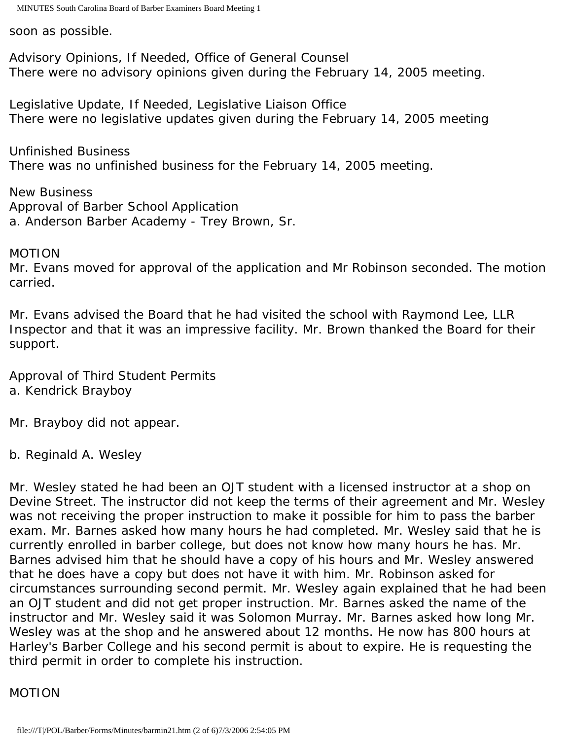soon as possible.

Advisory Opinions, If Needed, Office of General Counsel There were no advisory opinions given during the February 14, 2005 meeting.

Legislative Update, If Needed, Legislative Liaison Office There were no legislative updates given during the February 14, 2005 meeting

Unfinished Business There was no unfinished business for the February 14, 2005 meeting.

New Business Approval of Barber School Application a. Anderson Barber Academy - Trey Brown, Sr.

MOTION

Mr. Evans moved for approval of the application and Mr Robinson seconded. The motion carried.

Mr. Evans advised the Board that he had visited the school with Raymond Lee, LLR Inspector and that it was an impressive facility. Mr. Brown thanked the Board for their support.

Approval of Third Student Permits a. Kendrick Brayboy

Mr. Brayboy did not appear.

b. Reginald A. Wesley

Mr. Wesley stated he had been an OJT student with a licensed instructor at a shop on Devine Street. The instructor did not keep the terms of their agreement and Mr. Wesley was not receiving the proper instruction to make it possible for him to pass the barber exam. Mr. Barnes asked how many hours he had completed. Mr. Wesley said that he is currently enrolled in barber college, but does not know how many hours he has. Mr. Barnes advised him that he should have a copy of his hours and Mr. Wesley answered that he does have a copy but does not have it with him. Mr. Robinson asked for circumstances surrounding second permit. Mr. Wesley again explained that he had been an OJT student and did not get proper instruction. Mr. Barnes asked the name of the instructor and Mr. Wesley said it was Solomon Murray. Mr. Barnes asked how long Mr. Wesley was at the shop and he answered about 12 months. He now has 800 hours at Harley's Barber College and his second permit is about to expire. He is requesting the third permit in order to complete his instruction.

### MOTION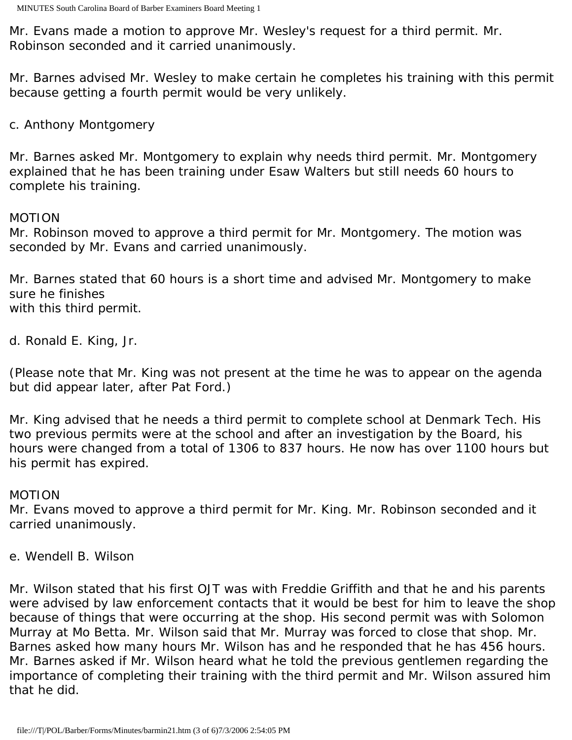Mr. Evans made a motion to approve Mr. Wesley's request for a third permit. Mr. Robinson seconded and it carried unanimously.

Mr. Barnes advised Mr. Wesley to make certain he completes his training with this permit because getting a fourth permit would be very unlikely.

## c. Anthony Montgomery

Mr. Barnes asked Mr. Montgomery to explain why needs third permit. Mr. Montgomery explained that he has been training under Esaw Walters but still needs 60 hours to complete his training.

### MOTION

Mr. Robinson moved to approve a third permit for Mr. Montgomery. The motion was seconded by Mr. Evans and carried unanimously.

Mr. Barnes stated that 60 hours is a short time and advised Mr. Montgomery to make sure he finishes with this third permit.

d. Ronald E. King, Jr.

(Please note that Mr. King was not present at the time he was to appear on the agenda but did appear later, after Pat Ford.)

Mr. King advised that he needs a third permit to complete school at Denmark Tech. His two previous permits were at the school and after an investigation by the Board, his hours were changed from a total of 1306 to 837 hours. He now has over 1100 hours but his permit has expired.

### MOTION

Mr. Evans moved to approve a third permit for Mr. King. Mr. Robinson seconded and it carried unanimously.

e. Wendell B. Wilson

Mr. Wilson stated that his first OJT was with Freddie Griffith and that he and his parents were advised by law enforcement contacts that it would be best for him to leave the shop because of things that were occurring at the shop. His second permit was with Solomon Murray at Mo Betta. Mr. Wilson said that Mr. Murray was forced to close that shop. Mr. Barnes asked how many hours Mr. Wilson has and he responded that he has 456 hours. Mr. Barnes asked if Mr. Wilson heard what he told the previous gentlemen regarding the importance of completing their training with the third permit and Mr. Wilson assured him that he did.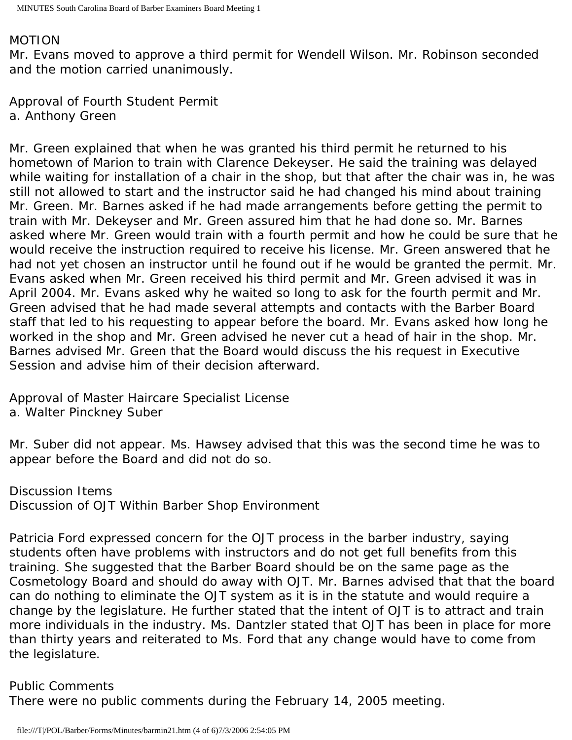#### MOTION

Mr. Evans moved to approve a third permit for Wendell Wilson. Mr. Robinson seconded and the motion carried unanimously.

Approval of Fourth Student Permit a. Anthony Green

Mr. Green explained that when he was granted his third permit he returned to his hometown of Marion to train with Clarence Dekeyser. He said the training was delayed while waiting for installation of a chair in the shop, but that after the chair was in, he was still not allowed to start and the instructor said he had changed his mind about training Mr. Green. Mr. Barnes asked if he had made arrangements before getting the permit to train with Mr. Dekeyser and Mr. Green assured him that he had done so. Mr. Barnes asked where Mr. Green would train with a fourth permit and how he could be sure that he would receive the instruction required to receive his license. Mr. Green answered that he had not yet chosen an instructor until he found out if he would be granted the permit. Mr. Evans asked when Mr. Green received his third permit and Mr. Green advised it was in April 2004. Mr. Evans asked why he waited so long to ask for the fourth permit and Mr. Green advised that he had made several attempts and contacts with the Barber Board staff that led to his requesting to appear before the board. Mr. Evans asked how long he worked in the shop and Mr. Green advised he never cut a head of hair in the shop. Mr. Barnes advised Mr. Green that the Board would discuss the his request in Executive Session and advise him of their decision afterward.

Approval of Master Haircare Specialist License a. Walter Pinckney Suber

Mr. Suber did not appear. Ms. Hawsey advised that this was the second time he was to appear before the Board and did not do so.

Discussion Items Discussion of OJT Within Barber Shop Environment

Patricia Ford expressed concern for the OJT process in the barber industry, saying students often have problems with instructors and do not get full benefits from this training. She suggested that the Barber Board should be on the same page as the Cosmetology Board and should do away with OJT. Mr. Barnes advised that that the board can do nothing to eliminate the OJT system as it is in the statute and would require a change by the legislature. He further stated that the intent of OJT is to attract and train more individuals in the industry. Ms. Dantzler stated that OJT has been in place for more than thirty years and reiterated to Ms. Ford that any change would have to come from the legislature.

Public Comments

There were no public comments during the February 14, 2005 meeting.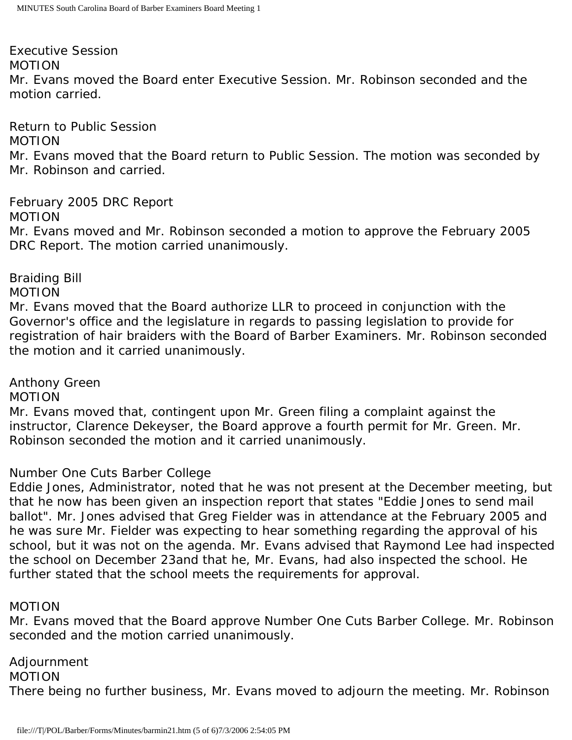Executive Session MOTION Mr. Evans moved the Board enter Executive Session. Mr. Robinson seconded and the motion carried.

Return to Public Session

MOTION

Mr. Evans moved that the Board return to Public Session. The motion was seconded by Mr. Robinson and carried.

February 2005 DRC Report MOTION Mr. Evans moved and Mr. Robinson seconded a motion to approve the February 2005 DRC Report. The motion carried unanimously.

Braiding Bill

MOTION

Mr. Evans moved that the Board authorize LLR to proceed in conjunction with the Governor's office and the legislature in regards to passing legislation to provide for registration of hair braiders with the Board of Barber Examiners. Mr. Robinson seconded the motion and it carried unanimously.

Anthony Green

MOTION

Mr. Evans moved that, contingent upon Mr. Green filing a complaint against the instructor, Clarence Dekeyser, the Board approve a fourth permit for Mr. Green. Mr. Robinson seconded the motion and it carried unanimously.

# Number One Cuts Barber College

Eddie Jones, Administrator, noted that he was not present at the December meeting, but that he now has been given an inspection report that states "Eddie Jones to send mail ballot". Mr. Jones advised that Greg Fielder was in attendance at the February 2005 and he was sure Mr. Fielder was expecting to hear something regarding the approval of his school, but it was not on the agenda. Mr. Evans advised that Raymond Lee had inspected the school on December 23and that he, Mr. Evans, had also inspected the school. He further stated that the school meets the requirements for approval.

## MOTION

Mr. Evans moved that the Board approve Number One Cuts Barber College. Mr. Robinson seconded and the motion carried unanimously.

Adjournment MOTION There being no further business, Mr. Evans moved to adjourn the meeting. Mr. Robinson